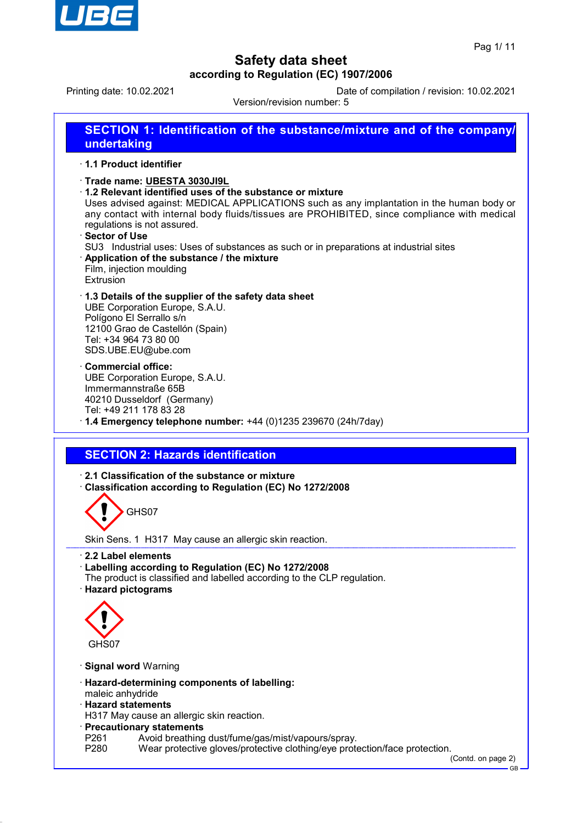

Printing date: 10.02.2021 Date of compilation / revision: 10.02.2021

Version/revision number: 5

**SECTION 1: Identification of the substance/mixture and of the company/ undertaking** · **1.1 Product identifier** · **Trade name: UBESTA 3030JI9L** · **1.2 Relevant identified uses of the substance or mixture** Uses advised against: MEDICAL APPLICATIONS such as any implantation in the human body or any contact with internal body fluids/tissues are PROHIBITED, since compliance with medical regulations is not assured. · **Sector of Use** SU3 Industrial uses: Uses of substances as such or in preparations at industrial sites · **Application of the substance / the mixture** Film, injection moulding Extrusion · **1.3 Details of the supplier of the safety data sheet** UBE Corporation Europe, S.A.U. Polígono El Serrallo s/n 12100 Grao de Castellón (Spain) Tel: +34 964 73 80 00 SDS.UBE.EU@ube.com · **Commercial office:** UBE Corporation Europe, S.A.U. Immermannstraße 65B 40210 Dusseldorf (Germany) Tel: +49 211 178 83 28 · **1.4 Emergency telephone number:** +44 (0)1235 239670 (24h/7day) **SECTION 2: Hazards identification** · **2.1 Classification of the substance or mixture** · **Classification according to Regulation (EC) No 1272/2008** GHS07 Skin Sens. 1 H317 May cause an allergic skin reaction. · **2.2 Label elements** · **Labelling according to Regulation (EC) No 1272/2008** The product is classified and labelled according to the CLP regulation. · **Hazard pictograms** GHS07 · **Signal word** Warning · **Hazard-determining components of labelling:** maleic anhydride · **Hazard statements** H317 May cause an allergic skin reaction. · **Precautionary statements** P261 Avoid breathing dust/fume/gas/mist/vapours/spray.<br>P280 Wear protective gloves/protective clothing/eve prote Wear protective gloves/protective clothing/eye protection/face protection.

(Contd. on page 2)

GB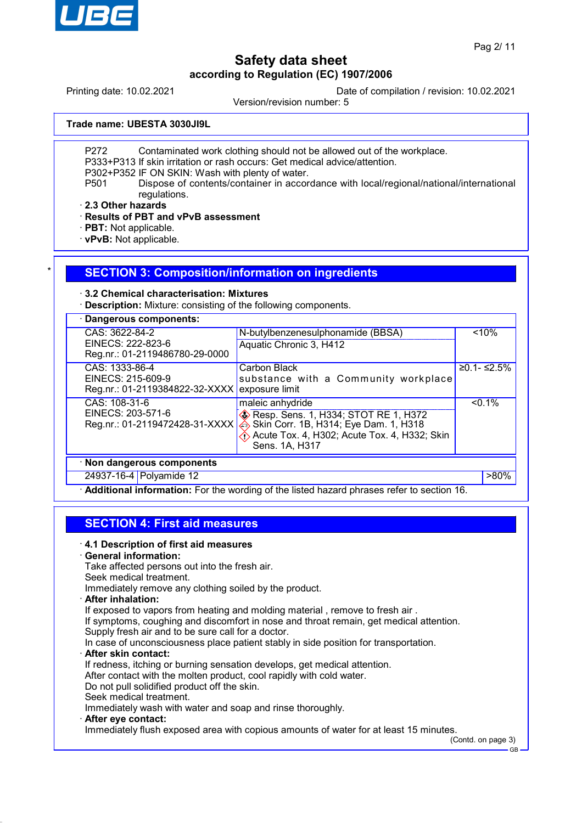

Printing date: 10.02.2021 Date of compilation / revision: 10.02.2021

Version/revision number: 5

**Trade name: UBESTA 3030JI9L**

P272 Contaminated work clothing should not be allowed out of the workplace.

P333+P313 If skin irritation or rash occurs: Get medical advice/attention.

P302+P352 IF ON SKIN: Wash with plenty of water.

P501 Dispose of contents/container in accordance with local/regional/national/international regulations.

· **2.3 Other hazards**

· **Results of PBT and vPvB assessment**

· **PBT:** Not applicable.

· **vPvB:** Not applicable.

### **SECTION 3: Composition/information on ingredients**

### · **3.2 Chemical characterisation: Mixtures**

· **Description:** Mixture: consisting of the following components.

| CAS: 3622-84-2                                                        | N-butylbenzenesulphonamide (BBSA)                                                                                                                                                     |  | < 10%          |
|-----------------------------------------------------------------------|---------------------------------------------------------------------------------------------------------------------------------------------------------------------------------------|--|----------------|
| EINECS: 222-823-6<br>Reg.nr.: 01-2119486780-29-0000                   | Aquatic Chronic 3, H412                                                                                                                                                               |  |                |
| CAS: 1333-86-4<br>EINECS: 215-609-9<br>Reg.nr.: 01-2119384822-32-XXXX | Carbon Black<br>substance with a Community workplace<br>exposure limit                                                                                                                |  | $≥0.1 - ≤2.5%$ |
| CAS: 108-31-6<br>EINECS: 203-571-6<br>Reg.nr.: 01-2119472428-31-XXXX  | maleic anhydride<br><b>Example 20</b> Resp. Sens. 1, H334; STOT RE 1, H372<br>Skin Corr. 1B, H314; Eye Dam. 1, H318<br>Acute Tox. 4, H302; Acute Tox. 4, H332; Skin<br>Sens. 1A, H317 |  | $< 0.1\%$      |
| · Non dangerous components                                            |                                                                                                                                                                                       |  |                |
| 24937-16-4 Polyamide 12                                               |                                                                                                                                                                                       |  | $>80\%$        |

· **Additional information:** For the wording of the listed hazard phrases refer to section 16.

## **SECTION 4: First aid measures**

### · **4.1 Description of first aid measures**

### · **General information:**

Take affected persons out into the fresh air.

Seek medical treatment.

Immediately remove any clothing soiled by the product.

· **After inhalation:**

If exposed to vapors from heating and molding material, remove to fresh air.

If symptoms, coughing and discomfort in nose and throat remain, get medical attention.

Supply fresh air and to be sure call for a doctor.

In case of unconsciousness place patient stably in side position for transportation.

· **After skin contact:**

If redness, itching or burning sensation develops, get medical attention.

After contact with the molten product, cool rapidly with cold water.

Do not pull solidified product off the skin.

Seek medical treatment.

Immediately wash with water and soap and rinse thoroughly.

· **After eye contact:**

Immediately flush exposed area with copious amounts of water for at least 15 minutes.

(Contd. on page 3)

GB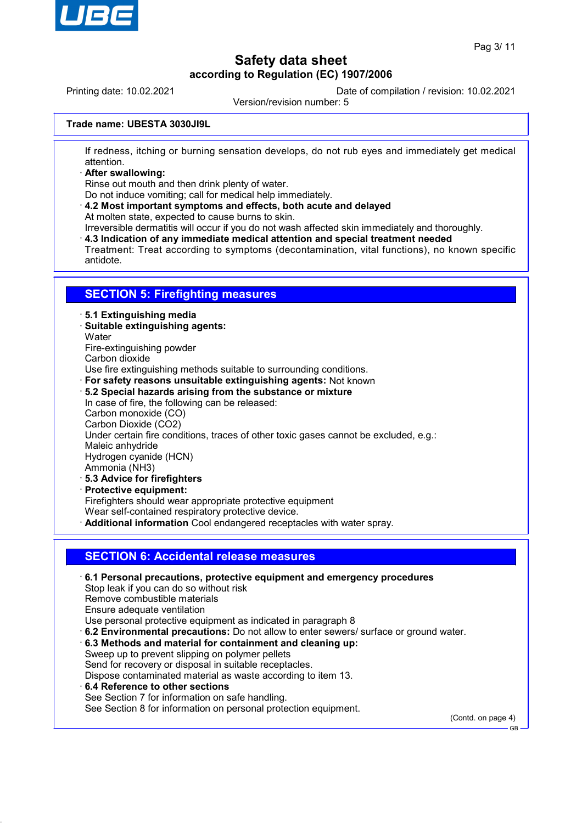

Printing date: 10.02.2021 Date of compilation / revision: 10.02.2021

Version/revision number: 5

### **Trade name: UBESTA 3030JI9L**

If redness, itching or burning sensation develops, do not rub eyes and immediately get medical attention.

· **After swallowing:**

Rinse out mouth and then drink plenty of water.

Do not induce vomiting; call for medical help immediately.

· **4.2 Most important symptoms and effects, both acute and delayed** At molten state, expected to cause burns to skin.

Irreversible dermatitis will occur if you do not wash affected skin immediately and thoroughly.

· **4.3 Indication of any immediate medical attention and special treatment needed**

Treatment: Treat according to symptoms (decontamination, vital functions), no known specific antidote.

### **SECTION 5: Firefighting measures**

#### · **5.1 Extinguishing media**

- · **Suitable extinguishing agents:**
- **Water**
- Fire-extinguishing powder
- Carbon dioxide

Use fire extinguishing methods suitable to surrounding conditions.

- · **For safety reasons unsuitable extinguishing agents:** Not known
- · **5.2 Special hazards arising from the substance or mixture**
- In case of fire, the following can be released: Carbon monoxide (CO) Carbon Dioxide (CO2) Under certain fire conditions, traces of other toxic gases cannot be excluded, e.g.: Maleic anhydride Hydrogen cyanide (HCN) Ammonia (NH3) · **5.3 Advice for firefighters** · **Protective equipment:**
- Firefighters should wear appropriate protective equipment
- Wear self-contained respiratory protective device.
- · **Additional information** Cool endangered receptacles with water spray.

### **SECTION 6: Accidental release measures**

- · **6.1 Personal precautions, protective equipment and emergency procedures** Stop leak if you can do so without risk Remove combustible materials Ensure adequate ventilation Use personal protective equipment as indicated in paragraph 8 · **6.2 Environmental precautions:** Do not allow to enter sewers/ surface or ground water. · **6.3 Methods and material for containment and cleaning up:**
- Sweep up to prevent slipping on polymer pellets Send for recovery or disposal in suitable receptacles. Dispose contaminated material as waste according to item 13.
- · **6.4 Reference to other sections** See Section 7 for information on safe handling. See Section 8 for information on personal protection equipment.

(Contd. on page 4)

GB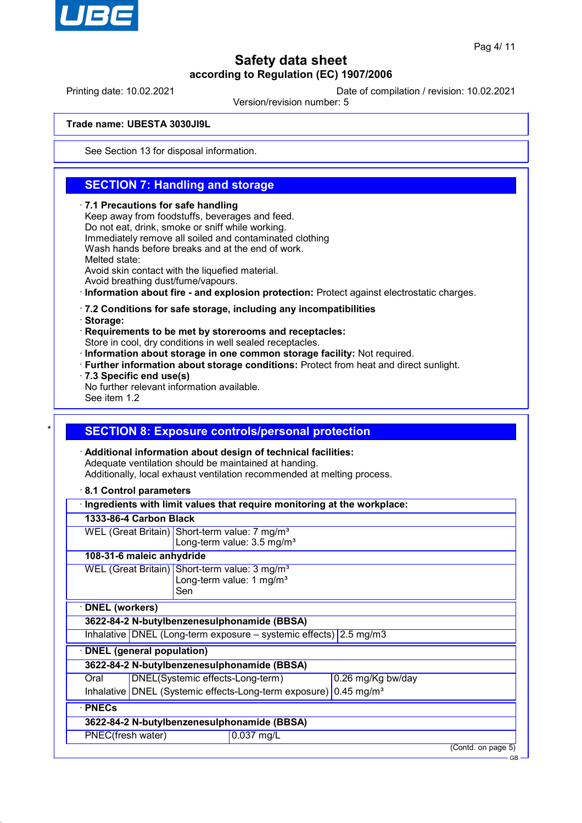

Printing date: 10.02.2021 Date of compilation / revision: 10.02.2021

Version/revision number: 5

### **Trade name: UBESTA 3030JI9L**

See Section 13 for disposal information.

## **SECTION 7: Handling and storage**

#### · **7.1 Precautions for safe handling**

Keep away from foodstuffs, beverages and feed. Do not eat, drink, smoke or sniff while working. Immediately remove all soiled and contaminated clothing Wash hands before breaks and at the end of work. Melted state: Avoid skin contact with the liquefied material. Avoid breathing dust/fume/vapours.

· **Information about fire - and explosion protection:** Protect against electrostatic charges.

#### · **7.2 Conditions for safe storage, including any incompatibilities**

· **Storage:**

· **Requirements to be met by storerooms and receptacles:**

Store in cool, dry conditions in well sealed receptacles.

- · **Information about storage in one common storage facility:** Not required.
- · **Further information about storage conditions:** Protect from heat and direct sunlight.
- · **7.3 Specific end use(s)**

No further relevant information available.

See item 1.2

## **SECTION 8: Exposure controls/personal protection**

· **Additional information about design of technical facilities:** Adequate ventilation should be maintained at handing. Additionally, local exhaust ventilation recommended at melting process.

· **8.1 Control parameters**

|                                                                              |  |                                                       | Ingredients with limit values that require monitoring at the workplace: |  |                    |
|------------------------------------------------------------------------------|--|-------------------------------------------------------|-------------------------------------------------------------------------|--|--------------------|
| 1333-86-4 Carbon Black                                                       |  |                                                       |                                                                         |  |                    |
|                                                                              |  |                                                       | WEL (Great Britain) Short-term value: 7 mg/m <sup>3</sup>               |  |                    |
|                                                                              |  |                                                       | Long-term value: 3.5 mg/m <sup>3</sup>                                  |  |                    |
| 108-31-6 maleic anhydride                                                    |  |                                                       |                                                                         |  |                    |
|                                                                              |  |                                                       | WEL (Great Britain) Short-term value: 3 mg/m <sup>3</sup>               |  |                    |
|                                                                              |  | Long-term value: 1 mg/m <sup>3</sup>                  |                                                                         |  |                    |
|                                                                              |  | Sen                                                   |                                                                         |  |                    |
| <b>DNEL</b> (workers)                                                        |  |                                                       |                                                                         |  |                    |
|                                                                              |  |                                                       | 3622-84-2 N-butylbenzenesulphonamide (BBSA)                             |  |                    |
|                                                                              |  |                                                       | Inhalative DNEL (Long-term exposure $-$ systemic effects) 2.5 mg/m3     |  |                    |
| <b>DNEL</b> (general population)                                             |  |                                                       |                                                                         |  |                    |
|                                                                              |  |                                                       | 3622-84-2 N-butylbenzenesulphonamide (BBSA)                             |  |                    |
| Oral                                                                         |  | DNEL(Systemic effects-Long-term)<br>0.26 mg/Kg bw/day |                                                                         |  |                    |
| Inhalative DNEL (Systemic effects-Long-term exposure) 0.45 mg/m <sup>3</sup> |  |                                                       |                                                                         |  |                    |
| · PNECs                                                                      |  |                                                       |                                                                         |  |                    |
|                                                                              |  |                                                       | 3622-84-2 N-butylbenzenesulphonamide (BBSA)                             |  |                    |
| PNEC(fresh water)                                                            |  |                                                       | 0.037 mg/L                                                              |  |                    |
|                                                                              |  |                                                       |                                                                         |  | (Contd. on page 5) |
|                                                                              |  |                                                       |                                                                         |  | <b>GB</b>          |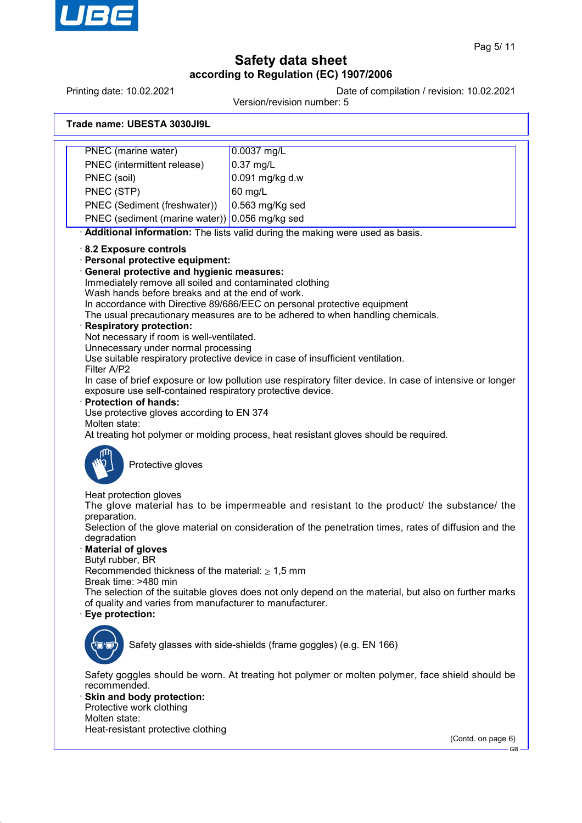

Printing date: 10.02.2021 Date of compilation / revision: 10.02.2021

Version/revision number: 5

| Trade name: UBESTA 3030JI9L |
|-----------------------------|
|-----------------------------|

| <b>PNEC</b> (marine water)                                                                                                                                                                                                                                                                                                                                                                                                                                                                                              | 0.0037 mg/L                                                                                                                                                                                                                                                                                                                                               |
|-------------------------------------------------------------------------------------------------------------------------------------------------------------------------------------------------------------------------------------------------------------------------------------------------------------------------------------------------------------------------------------------------------------------------------------------------------------------------------------------------------------------------|-----------------------------------------------------------------------------------------------------------------------------------------------------------------------------------------------------------------------------------------------------------------------------------------------------------------------------------------------------------|
| PNEC (intermittent release)                                                                                                                                                                                                                                                                                                                                                                                                                                                                                             | 0.37 mg/L                                                                                                                                                                                                                                                                                                                                                 |
| PNEC (soil)                                                                                                                                                                                                                                                                                                                                                                                                                                                                                                             | 0.091 mg/kg d.w                                                                                                                                                                                                                                                                                                                                           |
| PNEC (STP)                                                                                                                                                                                                                                                                                                                                                                                                                                                                                                              | 60 mg/L                                                                                                                                                                                                                                                                                                                                                   |
| PNEC (Sediment (freshwater))                                                                                                                                                                                                                                                                                                                                                                                                                                                                                            | 0.563 mg/Kg sed                                                                                                                                                                                                                                                                                                                                           |
| PNEC (sediment (marine water)) 0.056 mg/kg sed                                                                                                                                                                                                                                                                                                                                                                                                                                                                          |                                                                                                                                                                                                                                                                                                                                                           |
|                                                                                                                                                                                                                                                                                                                                                                                                                                                                                                                         | Additional information: The lists valid during the making were used as basis.                                                                                                                                                                                                                                                                             |
| 8.2 Exposure controls<br>· Personal protective equipment:<br>· General protective and hygienic measures:<br>Immediately remove all soiled and contaminated clothing<br>Wash hands before breaks and at the end of work.<br><b>Respiratory protection:</b><br>Not necessary if room is well-ventilated.<br>Unnecessary under normal processing<br>Filter A/P2<br>exposure use self-contained respiratory protective device.<br><b>Protection of hands:</b><br>Use protective gloves according to EN 374<br>Molten state: | In accordance with Directive 89/686/EEC on personal protective equipment<br>The usual precautionary measures are to be adhered to when handling chemicals.<br>Use suitable respiratory protective device in case of insufficient ventilation.<br>In case of brief exposure or low pollution use respiratory filter device. In case of intensive or longer |
| Protective gloves                                                                                                                                                                                                                                                                                                                                                                                                                                                                                                       | At treating hot polymer or molding process, heat resistant gloves should be required.                                                                                                                                                                                                                                                                     |
| Heat protection gloves<br>preparation.                                                                                                                                                                                                                                                                                                                                                                                                                                                                                  | The glove material has to be impermeable and resistant to the product/ the substance/ the                                                                                                                                                                                                                                                                 |
| degradation<br><b>Material of gloves</b>                                                                                                                                                                                                                                                                                                                                                                                                                                                                                | Selection of the glove material on consideration of the penetration times, rates of diffusion and the                                                                                                                                                                                                                                                     |
| Butyl rubber, BR<br>Recommended thickness of the material: $\geq 1.5$ mm<br>Break time: >480 min                                                                                                                                                                                                                                                                                                                                                                                                                        |                                                                                                                                                                                                                                                                                                                                                           |
| of quality and varies from manufacturer to manufacturer.<br>Eye protection:                                                                                                                                                                                                                                                                                                                                                                                                                                             | The selection of the suitable gloves does not only depend on the material, but also on further marks                                                                                                                                                                                                                                                      |
|                                                                                                                                                                                                                                                                                                                                                                                                                                                                                                                         | Safety glasses with side-shields (frame goggles) (e.g. EN 166)                                                                                                                                                                                                                                                                                            |
| recommended.<br>· Skin and body protection:                                                                                                                                                                                                                                                                                                                                                                                                                                                                             | Safety goggles should be worn. At treating hot polymer or molten polymer, face shield should be                                                                                                                                                                                                                                                           |
| Protective work clothing                                                                                                                                                                                                                                                                                                                                                                                                                                                                                                |                                                                                                                                                                                                                                                                                                                                                           |
| Molten state:                                                                                                                                                                                                                                                                                                                                                                                                                                                                                                           |                                                                                                                                                                                                                                                                                                                                                           |
| Heat-resistant protective clothing                                                                                                                                                                                                                                                                                                                                                                                                                                                                                      |                                                                                                                                                                                                                                                                                                                                                           |
|                                                                                                                                                                                                                                                                                                                                                                                                                                                                                                                         | (Contd. on page 6)<br><b>GB</b>                                                                                                                                                                                                                                                                                                                           |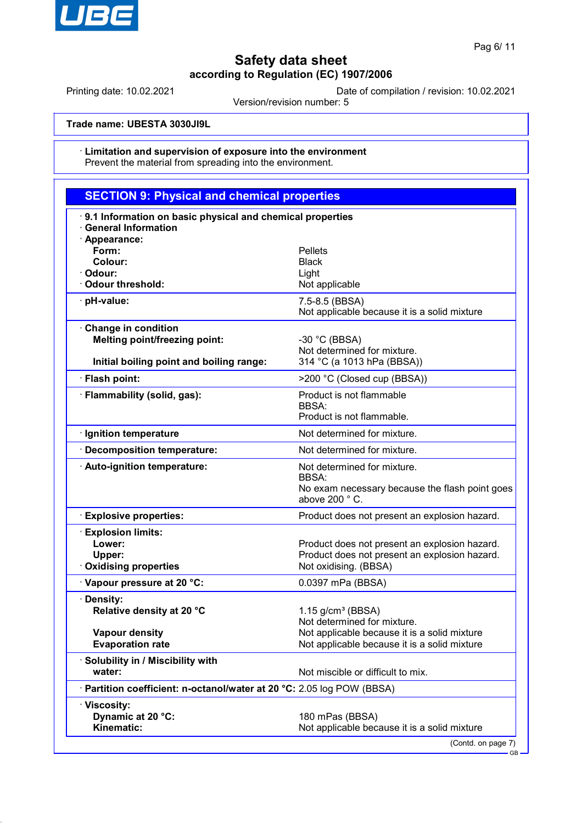

Printing date: 10.02.2021 Date of compilation / revision: 10.02.2021

Version/revision number: 5

**Trade name: UBESTA 3030JI9L**

#### · **Limitation and supervision of exposure into the environment** Prevent the material from spreading into the environment.

| <b>SECTION 9: Physical and chemical properties</b>                                                      |                                                                                                                         |
|---------------------------------------------------------------------------------------------------------|-------------------------------------------------------------------------------------------------------------------------|
| 9.1 Information on basic physical and chemical properties<br><b>General Information</b>                 |                                                                                                                         |
| · Appearance:<br>Form:<br>Colour:<br>· Odour:<br>Odour threshold:                                       | <b>Pellets</b><br><b>Black</b><br>Light<br>Not applicable                                                               |
| pH-value:                                                                                               | 7.5-8.5 (BBSA)<br>Not applicable because it is a solid mixture                                                          |
| Change in condition<br><b>Melting point/freezing point:</b><br>Initial boiling point and boiling range: | -30 $^{\circ}$ C (BBSA)<br>Not determined for mixture.<br>314 °C (a 1013 hPa (BBSA))                                    |
| · Flash point:                                                                                          | >200 °C (Closed cup (BBSA))                                                                                             |
| · Flammability (solid, gas):                                                                            | Product is not flammable<br><b>BBSA:</b><br>Product is not flammable.                                                   |
| · Ignition temperature                                                                                  | Not determined for mixture.                                                                                             |
| <b>Decomposition temperature:</b>                                                                       | Not determined for mixture.                                                                                             |
| · Auto-ignition temperature:                                                                            | Not determined for mixture.<br>BBSA:<br>No exam necessary because the flash point goes<br>above 200 °C.                 |
| <b>Explosive properties:</b>                                                                            | Product does not present an explosion hazard.                                                                           |
| <b>Explosion limits:</b><br>Lower:<br>Upper:<br><b>Oxidising properties</b>                             | Product does not present an explosion hazard.<br>Product does not present an explosion hazard.<br>Not oxidising. (BBSA) |
| Vapour pressure at 20 °C:                                                                               | 0.0397 mPa (BBSA)                                                                                                       |
| · Density:<br>Relative density at 20 °C                                                                 | $1.15$ g/cm <sup>3</sup> (BBSA)<br>Not determined for mixture.                                                          |
| <b>Vapour density</b><br><b>Evaporation rate</b>                                                        | Not applicable because it is a solid mixture<br>Not applicable because it is a solid mixture                            |
| · Solubility in / Miscibility with<br>water:                                                            | Not miscible or difficult to mix.                                                                                       |
| · Partition coefficient: n-octanol/water at 20 °C: 2.05 log POW (BBSA)                                  |                                                                                                                         |
| · Viscosity:<br>Dynamic at 20 °C:<br>Kinematic:                                                         | 180 mPas (BBSA)<br>Not applicable because it is a solid mixture<br>(Contd. on page 7)                                   |

GB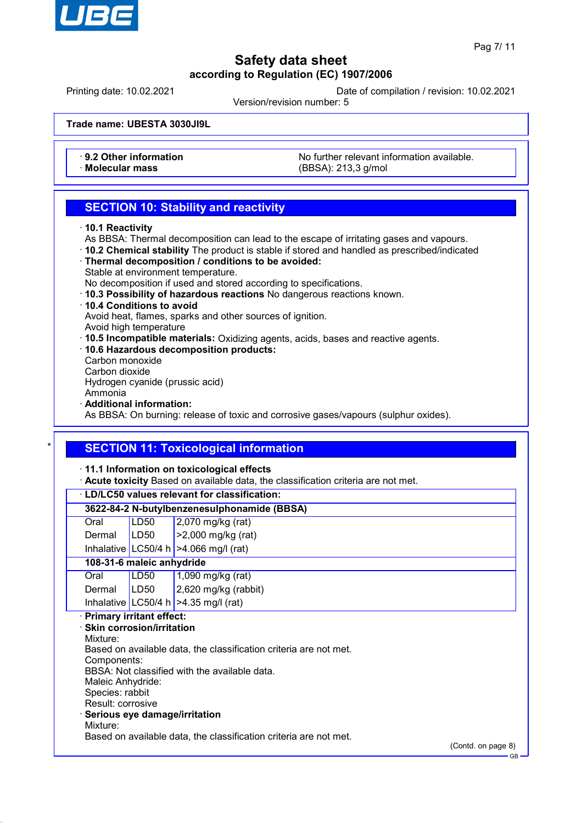

GB

# **Safety data sheet according to Regulation (EC) 1907/2006**

Printing date: 10.02.2021 Date of compilation / revision: 10.02.2021

Version/revision number: 5

**Trade name: UBESTA 3030JI9L**

• **9.2 Other information** No further relevant information available.<br>
Molecular mass **Notecular mass** (RBSA) 213.3 g/mol · **Molecular mass** (BBSA): 213,3 g/mol

## **SECTION 10: Stability and reactivity**

- · **10.1 Reactivity**
- As BBSA: Thermal decomposition can lead to the escape of irritating gases and vapours.
- · **10.2 Chemical stability** The product is stable if stored and handled as prescribed/indicated
- · **Thermal decomposition / conditions to be avoided:**
- Stable at environment temperature.
- No decomposition if used and stored according to specifications.
- · **10.3 Possibility of hazardous reactions** No dangerous reactions known.
- · **10.4 Conditions to avoid**

Avoid heat, flames, sparks and other sources of ignition.

- Avoid high temperature
- · **10.5 Incompatible materials:** Oxidizing agents, acids, bases and reactive agents.
- · **10.6 Hazardous decomposition products:** Carbon monoxide
- Carbon dioxide

Hydrogen cyanide (prussic acid)

Ammonia

· **Additional information:**

As BBSA: On burning: release of toxic and corrosive gases/vapours (sulphur oxides).

## **SECTION 11: Toxicological information**

· **11.1 Information on toxicological effects**

· **Acute toxicity** Based on available data, the classification criteria are not met.

|                   |                                  | LD/LC50 values relevant for classification:                       |                    |
|-------------------|----------------------------------|-------------------------------------------------------------------|--------------------|
|                   |                                  | 3622-84-2 N-butylbenzenesulphonamide (BBSA)                       |                    |
| Oral              | LD <sub>50</sub>                 | 2,070 mg/kg (rat)                                                 |                    |
| Dermal            | LD50                             | $>2,000$ mg/kg (rat)                                              |                    |
|                   |                                  | Inhalative LC50/4 h $>4.066$ mg/l (rat)                           |                    |
|                   | 108-31-6 maleic anhydride        |                                                                   |                    |
| Oral              | LD <sub>50</sub>                 | $1,090$ mg/kg (rat)                                               |                    |
| Dermal            | LD50                             | 2,620 mg/kg (rabbit)                                              |                    |
|                   |                                  | Inhalative   LC50/4 h   $>4.35$ mg/l (rat)                        |                    |
|                   | <b>Primary irritant effect:</b>  |                                                                   |                    |
|                   | <b>Skin corrosion/irritation</b> |                                                                   |                    |
| Mixture:          |                                  |                                                                   |                    |
| Components:       |                                  | Based on available data, the classification criteria are not met. |                    |
|                   |                                  | BBSA: Not classified with the available data.                     |                    |
| Maleic Anhydride: |                                  |                                                                   |                    |
| Species: rabbit   |                                  |                                                                   |                    |
| Result: corrosive |                                  |                                                                   |                    |
|                   |                                  | Serious eye damage/irritation                                     |                    |
| Mixture:          |                                  |                                                                   |                    |
|                   |                                  | Based on available data, the classification criteria are not met. |                    |
|                   |                                  |                                                                   | (Contd. on page 8) |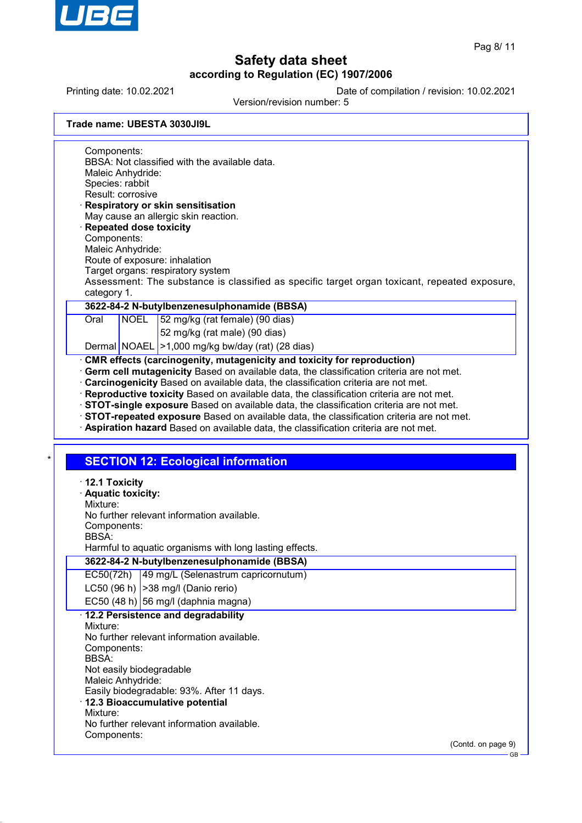

GB

# **Safety data sheet according to Regulation (EC) 1907/2006**

Printing date: 10.02.2021 Date of compilation / revision: 10.02.2021

Version/revision number: 5

|  | Trade name: UBESTA 3030JI9L |  |
|--|-----------------------------|--|
|  |                             |  |

Components: BBSA: Not classified with the available data. Maleic Anhydride: Species: rabbit Result: corrosive · **Respiratory or skin sensitisation**

- May cause an allergic skin reaction. · **Repeated dose toxicity**
- Components:
- Maleic Anhydride:
- Route of exposure: inhalation
- Target organs: respiratory system

Assessment: The substance is classified as specific target organ toxicant, repeated exposure, category 1.

## **3622-84-2 N-butylbenzenesulphonamide (BBSA)**

Oral NOEL 52 mg/kg (rat female) (90 dias)

- 52 mg/kg (rat male) (90 dias)
- Dermal NOAEL > 1,000 mg/kg bw/day (rat) (28 dias)

### · **CMR effects (carcinogenity, mutagenicity and toxicity for reproduction)**

- · **Germ cell mutagenicity** Based on available data, the classification criteria are not met.
- · **Carcinogenicity** Based on available data, the classification criteria are not met.
- · **Reproductive toxicity** Based on available data, the classification criteria are not met.
- · **STOT-single exposure** Based on available data, the classification criteria are not met.
- · **STOT-repeated exposure** Based on available data, the classification criteria are not met.
- · **Aspiration hazard** Based on available data, the classification criteria are not met.

## **SECTION 12: Ecological information**

| $\cdot$ 12.1 Toxicity<br>· Aquatic toxicity:<br>Mixture:<br>No further relevant information available.<br>Components:<br>BBSA:<br>Harmful to aquatic organisms with long lasting effects.                                                                                                                                               |                    |
|-----------------------------------------------------------------------------------------------------------------------------------------------------------------------------------------------------------------------------------------------------------------------------------------------------------------------------------------|--------------------|
| 3622-84-2 N-butylbenzenesulphonamide (BBSA)                                                                                                                                                                                                                                                                                             |                    |
| EC50(72h)<br>49 mg/L (Selenastrum capricornutum)                                                                                                                                                                                                                                                                                        |                    |
| LC50 (96 h) $ >38$ mg/l (Danio rerio)                                                                                                                                                                                                                                                                                                   |                    |
| EC50 (48 h) 56 mg/l (daphnia magna)                                                                                                                                                                                                                                                                                                     |                    |
| · 12.2 Persistence and degradability<br>Mixture:<br>No further relevant information available.<br>Components:<br><b>BBSA</b><br>Not easily biodegradable<br>Maleic Anhydride:<br>Easily biodegradable: 93%. After 11 days.<br>· 12.3 Bioaccumulative potential<br>Mixture:<br>No further relevant information available.<br>Components: |                    |
|                                                                                                                                                                                                                                                                                                                                         | (Contd. on page 9) |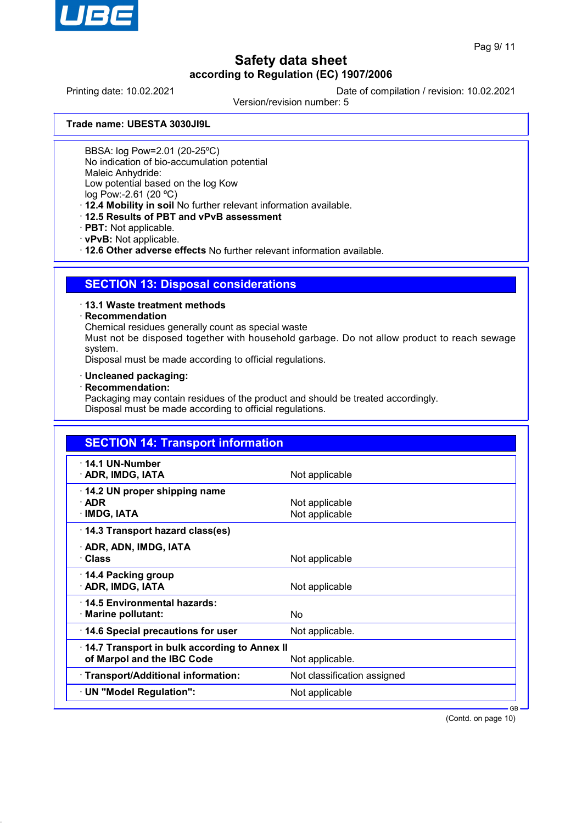

Printing date: 10.02.2021 Date of compilation / revision: 10.02.2021

Version/revision number: 5

**Trade name: UBESTA 3030JI9L**

BBSA: log Pow=2.01 (20-25ºC)

No indication of bio-accumulation potential

Maleic Anhydride:

Low potential based on the log Kow

log Pow:-2.61 (20 ºC)

· **12.4 Mobility in soil** No further relevant information available.

- · **12.5 Results of PBT and vPvB assessment**
- · **PBT:** Not applicable.
- · **vPvB:** Not applicable.

· **12.6 Other adverse effects** No further relevant information available.

## **SECTION 13: Disposal considerations**

## · **13.1 Waste treatment methods**

### · **Recommendation**

Chemical residues generally count as special waste

Must not be disposed together with household garbage. Do not allow product to reach sewage system.

Disposal must be made according to official regulations.

- · **Uncleaned packaging:**
- · **Recommendation:**

Packaging may contain residues of the product and should be treated accordingly. Disposal must be made according to official regulations.

| <b>SECTION 14: Transport information</b>                                   |                                  |  |
|----------------------------------------------------------------------------|----------------------------------|--|
| $\cdot$ 14.1 UN-Number<br>· ADR, IMDG, IATA                                | Not applicable                   |  |
| 14.2 UN proper shipping name<br>$\cdot$ ADR<br>· IMDG, IATA                | Not applicable<br>Not applicable |  |
| 14.3 Transport hazard class(es)                                            |                                  |  |
| · ADR, ADN, IMDG, IATA<br>· Class                                          | Not applicable                   |  |
| 14.4 Packing group<br>· ADR, IMDG, IATA                                    | Not applicable                   |  |
| 14.5 Environmental hazards:<br>· Marine pollutant:                         | No                               |  |
| 14.6 Special precautions for user                                          | Not applicable.                  |  |
| 14.7 Transport in bulk according to Annex II<br>of Marpol and the IBC Code | Not applicable.                  |  |
| · Transport/Additional information:                                        | Not classification assigned      |  |
| · UN "Model Regulation":                                                   | Not applicable                   |  |

(Contd. on page 10)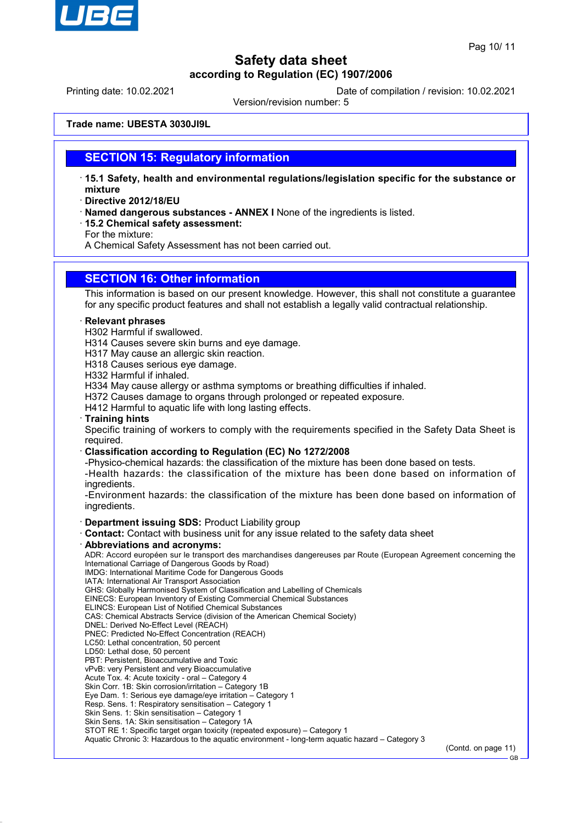

Printing date: 10.02.2021 Date of compilation / revision: 10.02.2021

Version/revision number: 5

**Trade name: UBESTA 3030JI9L**

## **SECTION 15: Regulatory information**

- · **15.1 Safety, health and environmental regulations/legislation specific for the substance or mixture**
- · **Directive 2012/18/EU**
- · **Named dangerous substances ANNEX I** None of the ingredients is listed.
- · **15.2 Chemical safety assessment:**

For the mixture:

A Chemical Safety Assessment has not been carried out.

## **SECTION 16: Other information**

This information is based on our present knowledge. However, this shall not constitute a guarantee for any specific product features and shall not establish a legally valid contractual relationship.

#### · **Relevant phrases**

- H302 Harmful if swallowed.
- H314 Causes severe skin burns and eye damage.
- H317 May cause an allergic skin reaction.
- H318 Causes serious eye damage.

H332 Harmful if inhaled.

- H334 May cause allergy or asthma symptoms or breathing difficulties if inhaled.
- H372 Causes damage to organs through prolonged or repeated exposure.
- H412 Harmful to aquatic life with long lasting effects.
- · **Training hints**

Specific training of workers to comply with the requirements specified in the Safety Data Sheet is required.

- · **Classification according to Regulation (EC) No 1272/2008**
- -Physico-chemical hazards: the classification of the mixture has been done based on tests.

-Health hazards: the classification of the mixture has been done based on information of ingredients.

-Environment hazards: the classification of the mixture has been done based on information of ingredients.

#### · **Department issuing SDS:** Product Liability group

- · **Contact:** Contact with business unit for any issue related to the safety data sheet
- · **Abbreviations and acronyms:**

ADR: Accord européen sur le transport des marchandises dangereuses par Route (European Agreement concerning the International Carriage of Dangerous Goods by Road)

IMDG: International Maritime Code for Dangerous Goods

- IATA: International Air Transport Association GHS: Globally Harmonised System of Classification and Labelling of Chemicals
- EINECS: European Inventory of Existing Commercial Chemical Substances
- ELINCS: European List of Notified Chemical Substances
- CAS: Chemical Abstracts Service (division of the American Chemical Society)
- DNEL: Derived No-Effect Level (REACH)
- PNEC: Predicted No-Effect Concentration (REACH)
- LC50: Lethal concentration, 50 percent
- LD50: Lethal dose, 50 percent
- PBT: Persistent, Bioaccumulative and Toxic
- vPvB: very Persistent and very Bioaccumulative
- Acute Tox. 4: Acute toxicity oral Category 4
- Skin Corr. 1B: Skin corrosion/irritation Category 1B
- Eye Dam. 1: Serious eye damage/eye irritation Category 1
- Resp. Sens. 1: Respiratory sensitisation Category 1
- Skin Sens. 1: Skin sensitisation Category 1 Skin Sens. 1A: Skin sensitisation - Category 1A
- 

STOT RE 1: Specific target organ toxicity (repeated exposure) – Category 1

Aquatic Chronic 3: Hazardous to the aquatic environment - long-term aquatic hazard – Category 3